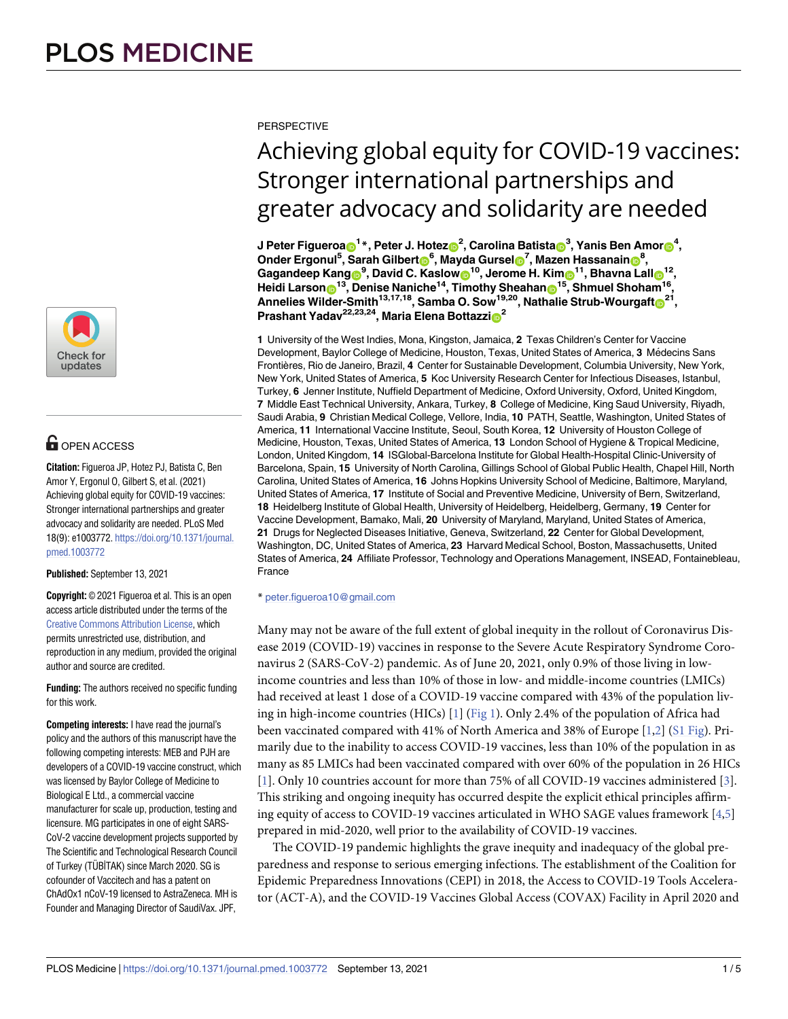

# **OPEN ACCESS**

**Citation:** Figueroa JP, Hotez PJ, Batista C, Ben Amor Y, Ergonul O, Gilbert S, et al. (2021) Achieving global equity for COVID-19 vaccines: Stronger international partnerships and greater advocacy and solidarity are needed. PLoS Med 18(9): e1003772. [https://doi.org/10.1371/journal.](https://doi.org/10.1371/journal.pmed.1003772) [pmed.1003772](https://doi.org/10.1371/journal.pmed.1003772)

**Published:** September 13, 2021

**Copyright:** © 2021 Figueroa et al. This is an open access article distributed under the terms of the Creative Commons [Attribution](http://creativecommons.org/licenses/by/4.0/) License, which permits unrestricted use, distribution, and reproduction in any medium, provided the original author and source are credited.

**Funding:** The authors received no specific funding for this work.

**Competing interests:** I have read the journal's policy and the authors of this manuscript have the following competing interests: MEB and PJH are developers of a COVID-19 vaccine construct, which was licensed by Baylor College of Medicine to Biological E Ltd., a commercial vaccine manufacturer for scale up, production, testing and licensure. MG participates in one of eight SARS-CoV-2 vaccine development projects supported by The Scientific and Technological Research Council of Turkey (TÜBİTAK) since March 2020. SG is cofounder of Vaccitech and has a patent on ChAdOx1 nCoV-19 licensed to AstraZeneca. MH is Founder and Managing Director of SaudiVax. JPF,

<span id="page-0-0"></span>**PERSPECTIVE** 

# Achieving global equity for COVID-19 vaccines: Stronger international partnerships and greater advocacy and solidarity are needed

J Peter Figueroa⊕<sup>1</sup> \*, Peter J. Hotez⊕<sup>2</sup>, Carolina Batista⊕<sup>3</sup>, Yanis Ben Amor**⊕**<sup>4</sup>,  $\blacksquare$ **Onder Ergonul<sup>5</sup>, Sarah Gilbert** $\blacksquare^6$ **, Mayda Gursel** $\blacksquare^7$ **, Mazen Hassanain** $\blacksquare^8$ **,**  $\frac{1}{2}$  Gagandeep Kang $\frac{1}{2}$ , David C. Kaslow $\frac{1}{2}$ , Jerome H. Kim $\frac{1}{2}$ , Bhavna Lall $\frac{1}{2}$ , **Heidi Larson**<sup>13</sup>, Denise Naniche<sup>14</sup>, Timothy Sheahan<sup>15</sup>, Shmuel Shoham<sup>16</sup>, **Annelies** Wilder-Smith<sup>13,17,18</sup>, Samba O. Sow<sup>19,20</sup>, Nathalie Strub-Wourgaft<sup>o21</sup>, **Prashant Yadav**<sup>22,23,24</sup>, Maria **Elena** Bottazzi<sup>0</sup><sup>2</sup>

**1** University of the West Indies, Mona, Kingston, Jamaica, **2** Texas Children's Center for Vaccine Development, Baylor College of Medicine, Houston, Texas, United States of America, 3 Médecins Sans Frontières, Rio de Janeiro, Brazil, **4** Center for Sustainable Development, Columbia University, New York, New York, United States of America, **5** Koc University Research Center for Infectious Diseases, Istanbul, Turkey, **6** Jenner Institute, Nuffield Department of Medicine, Oxford University, Oxford, United Kingdom, **7** Middle East Technical University, Ankara, Turkey, **8** College of Medicine, King Saud University, Riyadh, Saudi Arabia, **9** Christian Medical College, Vellore, India, **10** PATH, Seattle, Washington, United States of America, **11** International Vaccine Institute, Seoul, South Korea, **12** University of Houston College of Medicine, Houston, Texas, United States of America, **13** London School of Hygiene & Tropical Medicine, London, United Kingdom, **14** ISGlobal-Barcelona Institute for Global Health-Hospital Clinic-University of Barcelona, Spain, **15** University of North Carolina, Gillings School of Global Public Health, Chapel Hill, North Carolina, United States of America, **16** Johns Hopkins University School of Medicine, Baltimore, Maryland, United States of America, **17** Institute of Social and Preventive Medicine, University of Bern, Switzerland, **18** Heidelberg Institute of Global Health, University of Heidelberg, Heidelberg, Germany, **19** Center for Vaccine Development, Bamako, Mali, **20** University of Maryland, Maryland, United States of America, **21** Drugs for Neglected Diseases Initiative, Geneva, Switzerland, **22** Center for Global Development, Washington, DC, United States of America, **23** Harvard Medical School, Boston, Massachusetts, United States of America, **24** Affiliate Professor, Technology and Operations Management, INSEAD, Fontainebleau, France

\* peter.figueroa10@gmail.com

Many may not be aware of the full extent of global inequity in the rollout of Coronavirus Disease 2019 (COVID-19) vaccines in response to the Severe Acute Respiratory Syndrome Coronavirus 2 (SARS-CoV-2) pandemic. As of June 20, 2021, only 0.9% of those living in lowincome countries and less than 10% of those in low- and middle-income countries (LMICs) had received at least 1 dose of a COVID-19 vaccine compared with 43% of the population living in high-income countries (HICs) [\[1\]](#page-3-0) ([Fig](#page-2-0) 1). Only 2.4% of the population of Africa had been vaccinated compared with 41% of North America and 38% of Europe [\[1](#page-3-0)[,2\]](#page-4-0) (S1 [Fig](#page-3-0)). Primarily due to the inability to access COVID-19 vaccines, less than 10% of the population in as many as 85 LMICs had been vaccinated compared with over 60% of the population in 26 HICs [\[1](#page-3-0)]. Only 10 countries account for more than 75% of all COVID-19 vaccines administered [[3](#page-4-0)]. This striking and ongoing inequity has occurred despite the explicit ethical principles affirming equity of access to COVID-19 vaccines articulated in WHO SAGE values framework [\[4,5](#page-4-0)] prepared in mid-2020, well prior to the availability of COVID-19 vaccines.

The COVID-19 pandemic highlights the grave inequity and inadequacy of the global preparedness and response to serious emerging infections. The establishment of the Coalition for Epidemic Preparedness Innovations (CEPI) in 2018, the Access to COVID-19 Tools Accelerator (ACT-A), and the COVID-19 Vaccines Global Access (COVAX) Facility in April 2020 and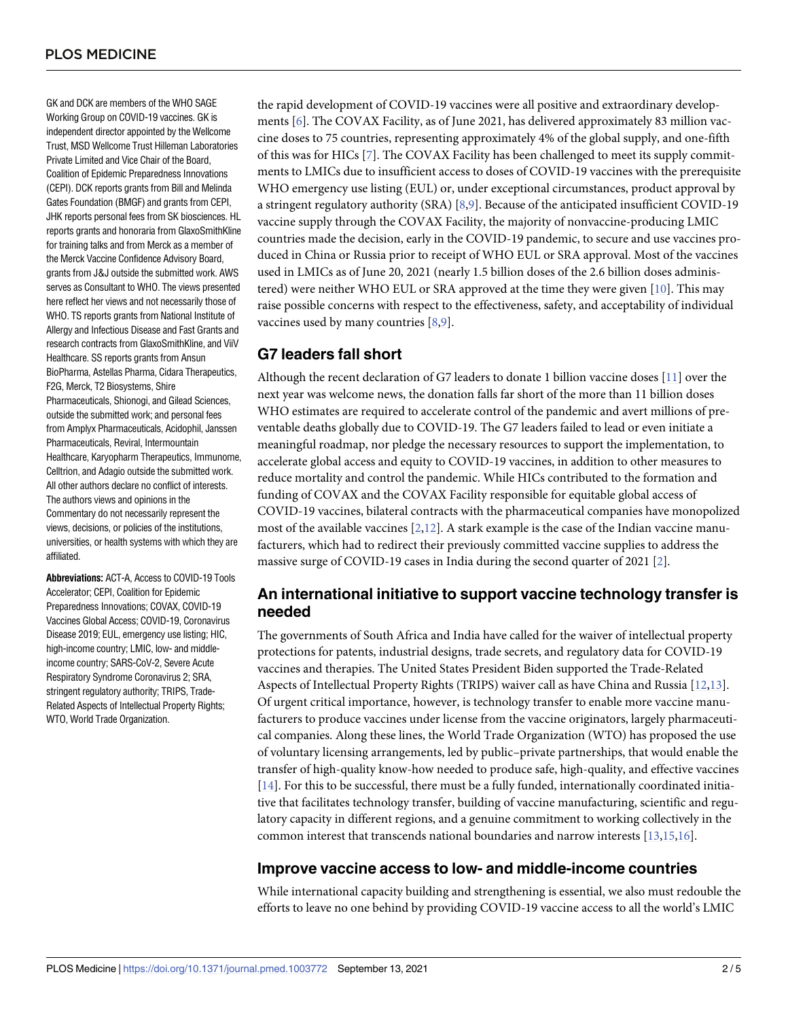<span id="page-1-0"></span>GK and DCK are members of the WHO SAGE Working Group on COVID-19 vaccines. GK is independent director appointed by the Wellcome Trust, MSD Wellcome Trust Hilleman Laboratories Private Limited and Vice Chair of the Board, Coalition of Epidemic Preparedness Innovations (CEPI). DCK reports grants from Bill and Melinda Gates Foundation (BMGF) and grants from CEPI, JHK reports personal fees from SK biosciences. HL reports grants and honoraria from GlaxoSmithKline for training talks and from Merck as a member of the Merck Vaccine Confidence Advisory Board, grants from J&J outside the submitted work. AWS serves as Consultant to WHO. The views presented here reflect her views and not necessarily those of WHO. TS reports grants from National Institute of Allergy and Infectious Disease and Fast Grants and research contracts from GlaxoSmithKline, and ViiV Healthcare. SS reports grants from Ansun BioPharma, Astellas Pharma, Cidara Therapeutics, F2G, Merck, T2 Biosystems, Shire Pharmaceuticals, Shionogi, and Gilead Sciences, outside the submitted work; and personal fees from Amplyx Pharmaceuticals, Acidophil, Janssen Pharmaceuticals, Reviral, Intermountain Healthcare, Karyopharm Therapeutics, Immunome, Celltrion, and Adagio outside the submitted work. All other authors declare no conflict of interests. The authors views and opinions in the Commentary do not necessarily represent the views, decisions, or policies of the institutions, universities, or health systems with which they are affiliated.

**Abbreviations:** ACT-A, *Access to COVID-19 Tools eem* Accelerator; CEPI, Coalition for Epidemic Preparedness Innovations; COVAX, COVID-19 Vaccines Global Access; COVID-19, Coronavirus Disease 2019; EUL, emergency use listing; HIC, high-income country; LMIC, low- and middleincome country; SARS-CoV-2, Severe Acute Respiratory Syndrome Coronavirus 2; SRA, stringent regulatory authority; TRIPS, Trade-Related Aspects of Intellectual Property Rights; WTO, World Trade Organization.

the rapid development of COVID-19 vaccines were all positive and extraordinary developments [\[6\]](#page-4-0). The COVAX Facility, as of June 2021, has delivered approximately 83 million vaccine doses to 75 countries, representing approximately 4% of the global supply, and one-fifth of this was for HICs [[7](#page-4-0)]. The COVAX Facility has been challenged to meet its supply commitments to LMICs due to insufficient access to doses of COVID-19 vaccines with the prerequisite WHO emergency use listing (EUL) or, under exceptional circumstances, product approval by a stringent regulatory authority (SRA) [\[8,9\]](#page-4-0). Because of the anticipated insufficient COVID-19 vaccine supply through the COVAX Facility, the majority of nonvaccine-producing LMIC countries made the decision, early in the COVID-19 pandemic, to secure and use vaccines produced in China or Russia prior to receipt of WHO EUL or SRA approval. Most of the vaccines used in LMICs as of June 20, 2021 (nearly 1.5 billion doses of the 2.6 billion doses administered) were neither WHO EUL or SRA approved at the time they were given [[10](#page-4-0)]. This may raise possible concerns with respect to the effectiveness, safety, and acceptability of individual vaccines used by many countries [[8](#page-4-0),[9](#page-4-0)].

#### **G7***AU***leaders** : *Pleasecon* **fall short** *firmthatallheadinglevelsarerepresentedcorrectly:*

Although the recent declaration of G7 leaders to donate 1 billion vaccine doses [\[11\]](#page-4-0) over the next year was welcome news, the donation falls far short of the more than 11 billion doses WHO estimates are required to accelerate control of the pandemic and avert millions of preventable deaths globally due to COVID-19. The G7 leaders failed to lead or even initiate a meaningful roadmap, nor pledge the necessary resources to support the implementation, to accelerate global access and equity to COVID-19 vaccines, in addition to other measures to reduce mortality and control the pandemic. While HICs contributed to the formation and funding of COVAX and the COVAX Facility responsible for equitable global access of COVID-19 vaccines, bilateral contracts with the pharmaceutical companies have monopolized most of the available vaccines  $[2,12]$  $[2,12]$  $[2,12]$  $[2,12]$  $[2,12]$ . A stark example is the case of the Indian vaccine manufacturers, which had to redirect their previously committed vaccine supplies to address the massive surge of COVID-19 cases in India during the second quarter of 2021 [[2](#page-4-0)].

## **An international initiative to support vaccine technology transfer is needed**

The governments of South Africa and India have called for the waiver of intellectual property protections for patents, industrial designs, trade secrets, and regulatory data for COVID-19 vaccines and therapies. The United States President Biden supported the Trade-Related Aspects of Intellectual Property Rights (TRIPS) waiver call as have China and Russia [[12](#page-4-0),[13](#page-4-0)]. Of urgent critical importance, however, is technology transfer to enable more vaccine manufacturers to produce vaccines under license from the vaccine originators, largely pharmaceutical companies. Along these lines, the World Trade Organization (WTO) has proposed the use of voluntary licensing arrangements, led by public–private partnerships, that would enable the transfer of high-quality know-how needed to produce safe, high-quality, and effective vaccines [\[14\]](#page-4-0). For this to be successful, there must be a fully funded, internationally coordinated initiative that facilitates technology transfer, building of vaccine manufacturing, scientific and regulatory capacity in different regions, and a genuine commitment to working collectively in the common interest that transcends national boundaries and narrow interests [\[13,15,16](#page-4-0)].

#### **Improve vaccine access to low- and middle-income countries**

While international capacity building and strengthening is essential, we also must redouble the efforts to leave no one behind by providing COVID-19 vaccine access to all the world's LMIC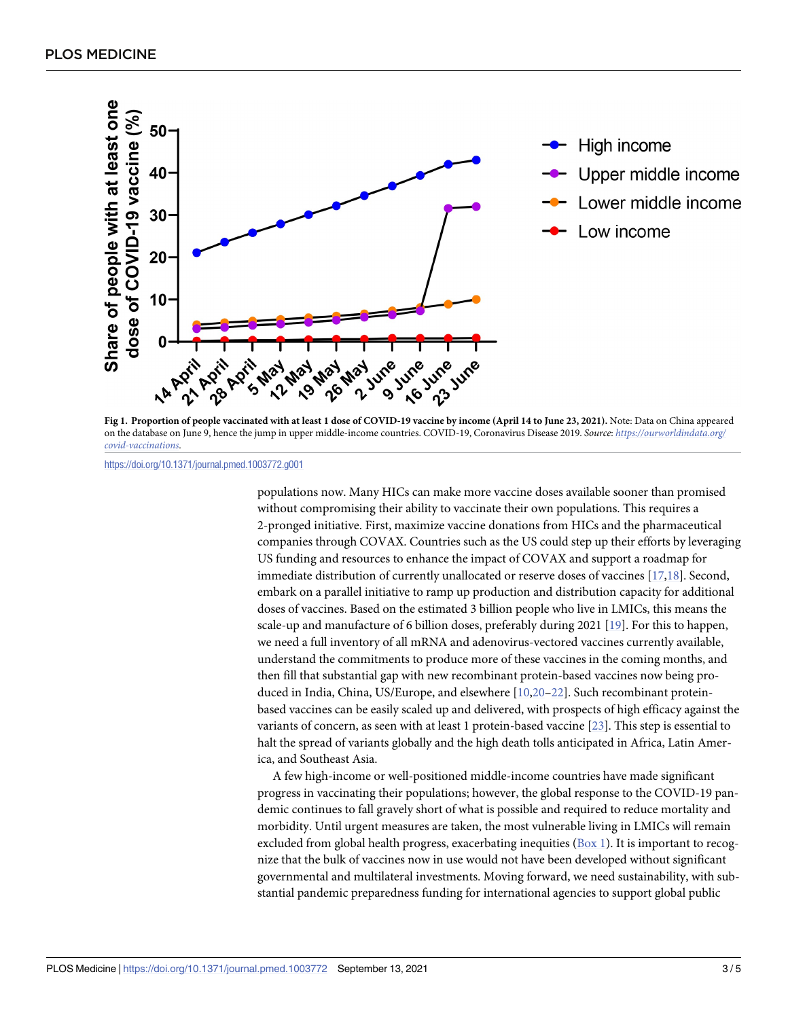<span id="page-2-0"></span>

[Fig](#page-0-0) 1. Proportion of people vaccinated with at least 1 dose of COVID-19 vaccine by income (April 14 to June 23, 2021). Note: Data on China appeared on the database on June 9, hence the jump in upper middle-income countries. COVID-19, Coronavirus Disease 2019. *Source*: *[https://ourworldindata.org/](https://ourworldindata.org/covid-vaccinations) [covid-vaccinations](https://ourworldindata.org/covid-vaccinations)*.

<https://doi.org/10.1371/journal.pmed.1003772.g001>

populations now. Many HICs can make more vaccine doses available sooner than promised without compromising their ability to vaccinate their own populations. This requires a 2-pronged initiative. First, maximize vaccine donations from HICs and the pharmaceutical companies through COVAX. Countries such as the US could step up their efforts by leveraging US funding and resources to enhance the impact of COVAX and support a roadmap for immediate distribution of currently unallocated or reserve doses of vaccines [[17,18\]](#page-4-0). Second, embark on a parallel initiative to ramp up production and distribution capacity for additional doses of vaccines. Based on the estimated 3 billion people who live in LMICs, this means the scale-up and manufacture of 6 billion doses, preferably during 2021 [\[19\]](#page-4-0). For this to happen, we need a full inventory of all mRNA and adenovirus-vectored vaccines currently available, understand the commitments to produce more of these vaccines in the coming months, and then fill that substantial gap with new recombinant protein-based vaccines now being produced in India, China, US/Europe, and elsewhere [\[10,20](#page-4-0)–[22](#page-4-0)]. Such recombinant proteinbased vaccines can be easily scaled up and delivered, with prospects of high efficacy against the variants of concern, as seen with at least 1 protein-based vaccine [\[23\]](#page-4-0). This step is essential to halt the spread of variants globally and the high death tolls anticipated in Africa, Latin America, and Southeast Asia.

A few high-income or well-positioned middle-income countries have made significant progress in vaccinating their populations; however, the global response to the COVID-19 pandemic continues to fall gravely short of what is possible and required to reduce mortality and morbidity. Until urgent measures are taken, the most vulnerable living in LMICs will remain excluded from global health progress, exacerbating inequities [\(Box](#page-3-0) 1). It is important to recognize that the bulk of vaccines now in use would not have been developed without significant governmental and multilateral investments. Moving forward, we need sustainability, with substantial pandemic preparedness funding for international agencies to support global public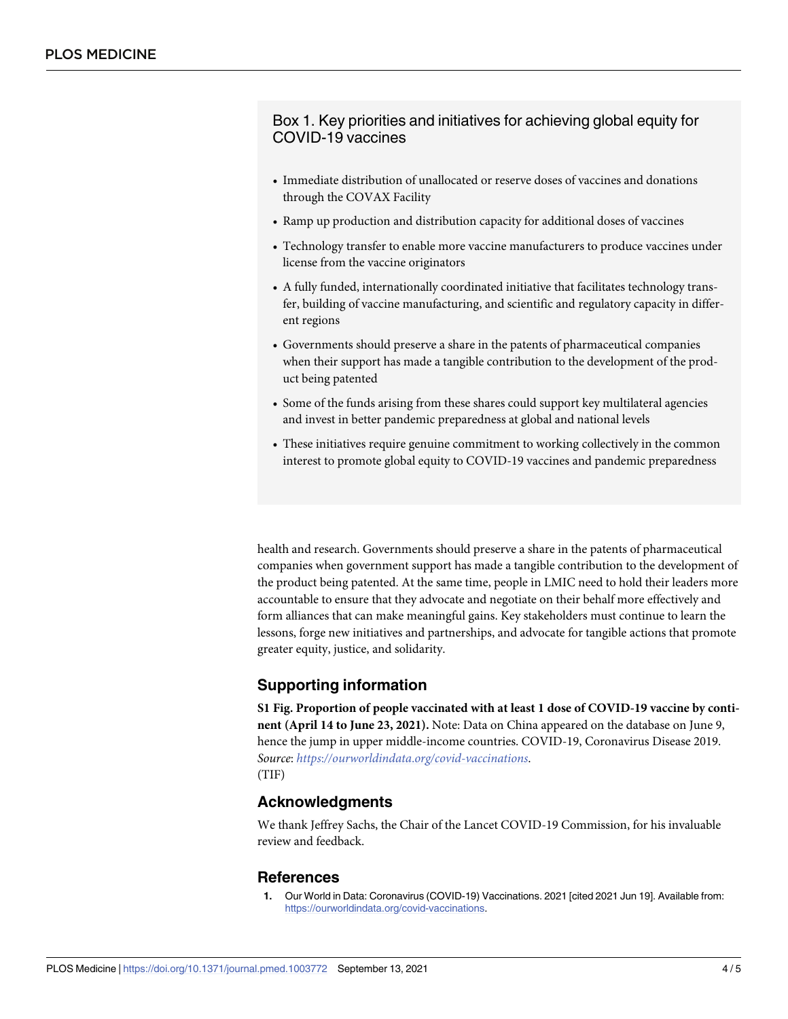<span id="page-3-0"></span>Box 1. Key priorities and initiatives for achieving global equity for COVID-19 vaccines

- Immediate distribution of unallocated or reserve doses of vaccines and donations through the COVAX Facility
- Ramp up production and distribution capacity for additional doses of vaccines
- Technology transfer to enable more vaccine manufacturers to produce vaccines under license from the vaccine originators
- A fully funded, internationally coordinated initiative that facilitates technology transfer, building of vaccine manufacturing, and scientific and regulatory capacity in different regions
- Governments should preserve a share in the patents of pharmaceutical companies when their support has made a tangible contribution to the development of the product being patented
- Some of the funds arising from these shares could support key multilateral agencies and invest in better pandemic preparedness at global and national levels
- These initiatives require genuine commitment to working collectively in the common interest to promote global equity to COVID-19 vaccines and pandemic preparedness

health and research. Governments should preserve a share in the patents of pharmaceutical companies when government support has made a tangible contribution to the development of the product being patented. At the same time, people in LMIC need to hold their leaders more accountable to ensure that they advocate and negotiate on their behalf more effectively and form alliances that can make meaningful gains. Key stakeholders must continue to learn the lessons, forge new initiatives and partnerships, and advocate for tangible actions that promote greater equity, justice, and solidarity.

## **Supporting information**

**S1 [Fig](http://journals.plos.org/plosmedicine/article/asset?unique&id=info:doi/10.1371/journal.pmed.1003772.s001). Proportion of people vaccinated with at least 1 dose of COVID-19 vaccine by continent (April 14 to June 23, 2021).** Note: Data on China appeared on the database on June 9, hence the jump in upper middle-income countries. COVID-19, Coronavirus Disease 2019. *Source*: *https*:*//ourworldindata*.*[org/covid-vaccinations](https://ourworldindata.org/covid-vaccinations)*. (TIF)

#### **Acknowledgments**

We thank Jeffrey Sachs, the Chair of the Lancet COVID-19 Commission, for his invaluable review and feedback.

#### **References**

**[1](#page-0-0).** Our World in Data: Coronavirus (COVID-19) Vaccinations. 2021 [cited 2021 Jun 19]. Available from: [https://ourworldindata.org/covid-vaccinations.](https://ourworldindata.org/covid-vaccinations)